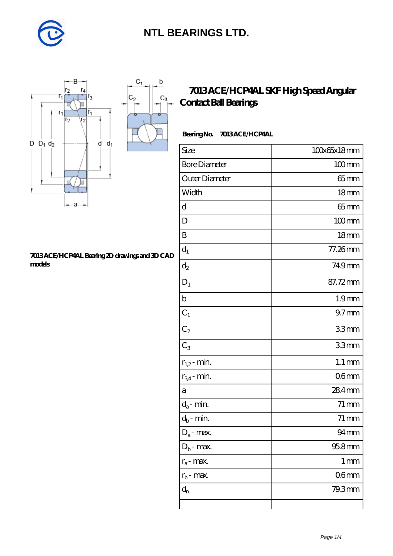

 $C_1$ 

 $\mathbf b$ 

П

 $C_3$ 



#### **[7013 ACE/HCP4AL Bearing 2D drawings and 3D CAD](https://m.diabetesfriends.net/pic-590698.html) [models](https://m.diabetesfriends.net/pic-590698.html)**

### **[7013 ACE/HCP4AL SKF High Speed Angular](https://m.diabetesfriends.net/skf-bearing/7013-ace-hcp4al.html) [Contact Ball Bearings](https://m.diabetesfriends.net/skf-bearing/7013-ace-hcp4al.html)**

#### **Bearing No. 7013 ACE/HCP4AL**

| Size                       | 100x65x18mm         |
|----------------------------|---------------------|
| <b>Bore Diameter</b>       | $100$ mm            |
| Outer Diameter             | $65$ mm             |
| Width                      | 18 <sub>mm</sub>    |
| d                          | $65$ mm             |
| D                          | $100$ mm            |
| B                          | 18mm                |
| $d_1$                      | 77.26mm             |
| $\mathrm{d}_2$             | 749mm               |
| $\mathbf{D}_1$             | 87.72mm             |
| $\mathbf b$                | 1.9 <sub>mm</sub>   |
| $C_1$                      | $97$ <sub>mm</sub>  |
| $C_2$                      | 33mm                |
| $C_3$                      | 33mm                |
| $r_{1,2}$ - min.           | $1.1 \,\mathrm{mm}$ |
| $r_{34}$ - min.            | 06 <sub>mm</sub>    |
| а                          | 284mm               |
| $d_a$ - min.               | $71 \,\mathrm{mm}$  |
| $d_b\operatorname{-} \min$ | $71 \,\mathrm{mm}$  |
| $D_a$ - max.               | $94 \text{mm}$      |
| $D_b$ - max.               | 95.8mm              |
| $r_a$ - max.               | $1 \,\mathrm{mm}$   |
| $r_{b}$ - max.             | 06 <sub>mm</sub>    |
| $d_{n}$                    | 79.3mm              |
|                            |                     |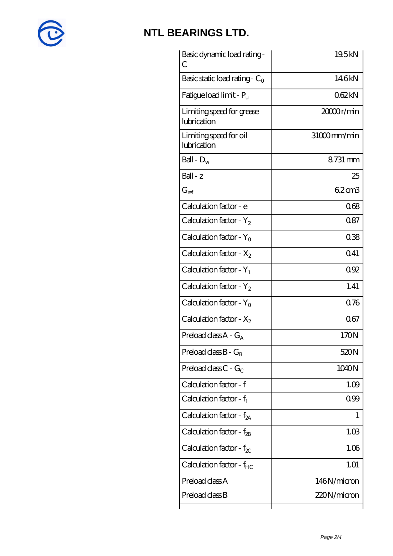

| Basic dynamic load rating -<br>С         | 19.5kN      |
|------------------------------------------|-------------|
| Basic static load rating - $C_0$         | 146kN       |
| Fatigue load limit - $P_{\rm u}$         | 062kN       |
| Limiting speed for grease<br>lubrication | 20000r/min  |
| Limiting speed for oil<br>lubrication    | 31000mm/min |
| Ball - $D_w$                             | 8731 mm     |
| $Ball - z$                               | 25          |
| $G_{ref}$                                | 62cm3       |
| Calculation factor - e                   | 068         |
| Calculation factor - $Y_2$               | 0.87        |
| Calculation factor - $Y_0$               | 038         |
| Calculation factor - $X_2$               | Q41         |
| Calculation factor - $Y_1$               | 092         |
| Calculation factor - $Y_2$               | 1.41        |
| Calculation factor - $Y_0$               | 0.76        |
| Calculation factor - $X_2$               | 067         |
| Preload class $A - G_A$                  | 170N        |
| Preload class $B - G_B$                  | 520N        |
| Preload class $C - G_C$                  | 1040N       |
| Calculation factor - f                   | 1.09        |
| Calculation factor - $f_1$               | 099         |
| Calculation factor - $f_{2A}$            | 1           |
| Calculation factor - $f_{\rm 2B}$        | 1.03        |
| Calculation factor - $f_{\chi}$          | 1.06        |
| Calculation factor - $f_{HC}$            | 1.01        |
| Preload class A                          | 146N/micron |
| Preload class B                          | 220N/micron |
|                                          |             |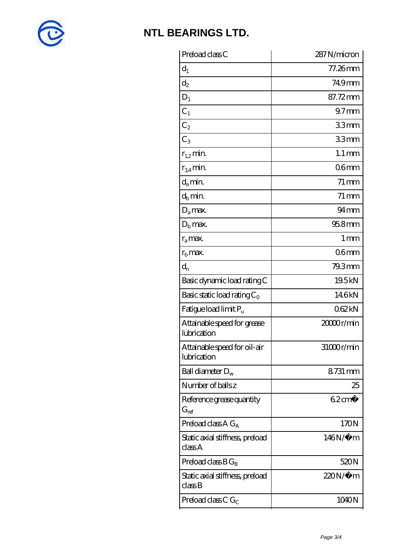

| Preload class C                             | 287N/micron         |
|---------------------------------------------|---------------------|
| $d_1$                                       | 77.26mm             |
| $\mathrm{d}_2$                              | 749mm               |
| $D_1$                                       | 87.72mm             |
| $C_1$                                       | 97 <sub>mm</sub>    |
| C <sub>2</sub>                              | 33mm                |
| $C_3$                                       | 33mm                |
| $r_{1,2}$ min.                              | $1.1 \,\mathrm{mm}$ |
| $r_{34}$ min.                               | 06 <sub>mm</sub>    |
| $d_a$ min.                                  | $71 \,\mathrm{mm}$  |
| $d_b$ min.                                  | $71 \,\mathrm{mm}$  |
| $D_a$ max.                                  | $94 \text{mm}$      |
| $Db$ max.                                   | $958$ mm            |
| $r_a$ max.                                  | 1 <sub>mm</sub>     |
| $rb$ max.                                   | 06 <sub>mm</sub>    |
| $d_{n}$                                     | 79.3mm              |
| Basic dynamic load rating C                 | 19.5kN              |
| Basic static load rating $C_0$              | 146kN               |
| Fatigue load limit P <sub>u</sub>           | 062kN               |
| Attainable speed for grease<br>lubrication  | 20000r/min          |
| Attainable speed for oil-air<br>lubrication | 31000r/min          |
| Ball diameter $D_w$                         | 8731 mm             |
| Number of balls z                           | 25                  |
| Reference grease quantity<br>$G_{ref}$      | $62 \text{cm}^3$    |
| Preload class A $G_A$                       | 170N                |
| Static axial stiffness, preload<br>classA   | 146N/μ m            |
| Preload class $BG_B$                        | 520N                |
| Static axial stiffness, preload<br>classB   | $220N/\mu$ m        |
| Preload class C $G_C$                       | 1040N               |
|                                             |                     |